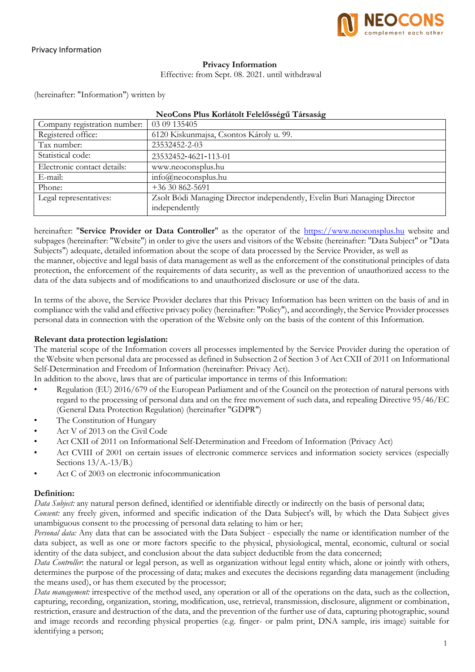

#### **Privacy Information**

Effective: from Sept. 08. 2021. until withdrawal

(hereinafter: "Information") written by

| Company registration number: | 03 09 135405                                                                               |
|------------------------------|--------------------------------------------------------------------------------------------|
| Registered office:           | 6120 Kiskunmajsa, Csontos Károly u. 99.                                                    |
| Tax number:                  | 23532452-2-03                                                                              |
| Statistical code:            | 23532452-4621-113-01                                                                       |
| Electronic contact details:  | www.neoconsplus.hu                                                                         |
| E-mail:                      | $info(\hat{\omega})$ neoconsplus.hu                                                        |
| Phone:                       | $+3630862 - 5691$                                                                          |
| Legal representatives:       | Zsolt Bódi Managing Director independently, Evelin Buri Managing Director<br>independently |

#### **NeoCons Plus Korlátolt Felelősségű Társaság**

hereinafter: "**Service Provider or Data Controller**" as the operator of the [https://www.neoconsplus.hu](https://www.neoconsplus.hu/) website and subpages (hereinafter: "Website") in order to give the users and visitors of the Website (hereinafter: "Data Subject" or "Data Subjects") adequate, detailed information about the scope of data processed by the Service Provider, as well as the manner, objective and legal basis of data management as well as the enforcement of the constitutional principles of data protection, the enforcement of the requirements of data security, as well as the prevention of unauthorized access to the data of the data subjects and of modifications to and unauthorized disclosure or use of the data.

In terms of the above, the Service Provider declares that this Privacy Information has been written on the basis of and in compliance with the valid and effective privacy policy (hereinafter: "Policy"), and accordingly, the Service Provider processes personal data in connection with the operation of the Website only on the basis of the content of this Information.

#### **Relevant data protection legislation:**

The material scope of the Information covers all processes implemented by the Service Provider during the operation of the Website when personal data are processed as defined in Subsection 2 of Section 3 of Act CXII of 2011 on Informational Self-Determination and Freedom of Information (hereinafter: Privacy Act).

In addition to the above, laws that are of particular importance in terms of this Information:

- Regulation (EU) 2016/679 of the European Parliament and of the Council on the protection of natural persons with regard to the processing of personal data and on the free movement of such data, and repealing Directive 95/46/EC (General Data Protection Regulation) (hereinafter "GDPR")
- The Constitution of Hungary
- Act V of 2013 on the Civil Code
- Act CXII of 2011 on Informational Self-Determination and Freedom of Information (Privacy Act)
- Act CVIII of 2001 on certain issues of electronic commerce services and information society services (especially Sections 13/A.-13/B.)
- Act C of 2003 on electronic infocommunication

## **Definition:**

*Data Subject:* any natural person defined, identified or identifiable directly or indirectly on the basis of personal data;

*Consent:* any freely given, informed and specific indication of the Data Subject's will, by which the Data Subject gives unambiguous consent to the processing of personal data relating to him or her;

*Personal data:* Any data that can be associated with the Data Subject - especially the name or identification number of the data subject, as well as one or more factors specific to the physical, physiological, mental, economic, cultural or social identity of the data subject, and conclusion about the data subject deductible from the data concerned;

*Data Controller*: the natural or legal person, as well as organization without legal entity which, alone or jointly with others, determines the purpose of the processing of data; makes and executes the decisions regarding data management (including the means used), or has them executed by the processor;

*Data management:* irrespective of the method used, any operation or all of the operations on the data, such as the collection, capturing, recording, organization, storing, modification, use, retrieval, transmission, disclosure, alignment or combination, restriction, erasure and destruction of the data, and the prevention of the further use of data, capturing photographic, sound and image records and recording physical properties (e.g. finger- or palm print, DNA sample, iris image) suitable for identifying a person;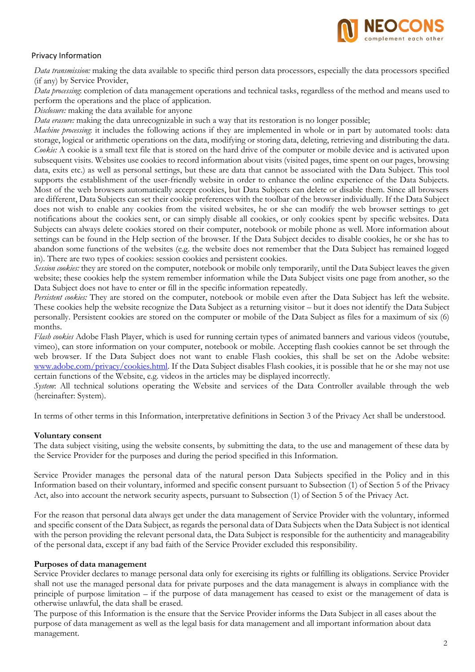

*Data transmission:* making the data available to specific third person data processors, especially the data processors specified (if any) by Service Provider,

*Data processing*: completion of data management operations and technical tasks, regardless of the method and means used to perform the operations and the place of application.

*Disclosure:* making the data available for anyone

*Data erasure:* making the data unrecognizable in such a way that its restoration is no longer possible;

*Machine processing*: it includes the following actions if they are implemented in whole or in part by automated tools: data storage, logical or arithmetic operations on the data, modifying or storing data, deleting, retrieving and distributing the data. *Cookie:* A cookie is a small text file that is stored on the hard drive of the computer or mobile device and is activated upon subsequent visits. Websites use cookies to record information about visits (visited pages, time spent on our pages, browsing data, exits etc.) as well as personal settings, but these are data that cannot be associated with the Data Subject. This tool supports the establishment of the user-friendly website in order to enhance the online experience of the Data Subjects. Most of the web browsers automatically accept cookies, but Data Subjects can delete or disable them. Since all browsers are different, Data Subjects can set their cookie preferences with the toolbar of the browser individually. If the Data Subject does not wish to enable any cookies from the visited websites, he or she can modify the web browser settings to get notifications about the cookies sent, or can simply disable all cookies, or only cookies spent by specific websites. Data Subjects can always delete cookies stored on their computer, notebook or mobile phone as well. More information about settings can be found in the Help section of the browser. If the Data Subject decides to disable cookies, he or she has to abandon some functions of the websites (e.g. the website does not remember that the Data Subject has remained logged in). There are two types of cookies: session cookies and persistent cookies.

*Session cookies:* they are stored on the computer, notebook or mobile only temporarily, until the Data Subject leaves the given website; these cookies help the system remember information while the Data Subject visits one page from another, so the Data Subject does not have to enter or fill in the specific information repeatedly.

*Persistent cookies:* They are stored on the computer, notebook or mobile even after the Data Subject has left the website. These cookies help the website recognize the Data Subject as a returning visitor – but it does not identify the Data Subject personally. Persistent cookies are stored on the computer or mobile of the Data Subject as files for a maximum of six (6) months.

*Flash cookies* Adobe Flash Player, which is used for running certain types of animated banners and various videos (youtube, vimeo), can store information on your computer, notebook or mobile. Accepting flash cookies cannot be set through the web browser. If the Data Subject does not want to enable Flash cookies, this shall be set on the Adobe website: [www.adobe.com/privacy/cookies.html.](http://www.adobe.com/privacy/cookies.html) If the Data Subject disables Flash cookies, it is possible that he or she may not use certain functions of the Website, e.g. videos in the articles may be displayed incorrectly.

*System*: All technical solutions operating the Website and services of the Data Controller available through the web (hereinafter: System).

In terms of other terms in this Information, interpretative definitions in Section 3 of the Privacy Act shall be understood.

## **Voluntary consent**

The data subject visiting, using the website consents, by submitting the data, to the use and management of these data by the Service Provider for the purposes and during the period specified in this Information.

Service Provider manages the personal data of the natural person Data Subjects specified in the Policy and in this Information based on their voluntary, informed and specific consent pursuant to Subsection (1) of Section 5 of the Privacy Act, also into account the network security aspects, pursuant to Subsection (1) of Section 5 of the Privacy Act.

For the reason that personal data always get under the data management of Service Provider with the voluntary, informed and specific consent of the Data Subject, as regards the personal data of Data Subjects when the Data Subject is not identical with the person providing the relevant personal data, the Data Subject is responsible for the authenticity and manageability of the personal data, except if any bad faith of the Service Provider excluded this responsibility.

#### **Purposes of data management**

Service Provider declares to manage personal data only for exercising its rights or fulfilling its obligations. Service Provider shall not use the managed personal data for private purposes and the data management is always in compliance with the principle of purpose limitation – if the purpose of data management has ceased to exist or the management of data is otherwise unlawful, the data shall be erased.

The purpose of this Information is the ensure that the Service Provider informs the Data Subject in all cases about the purpose of data management as well as the legal basis for data management and all important information about data management.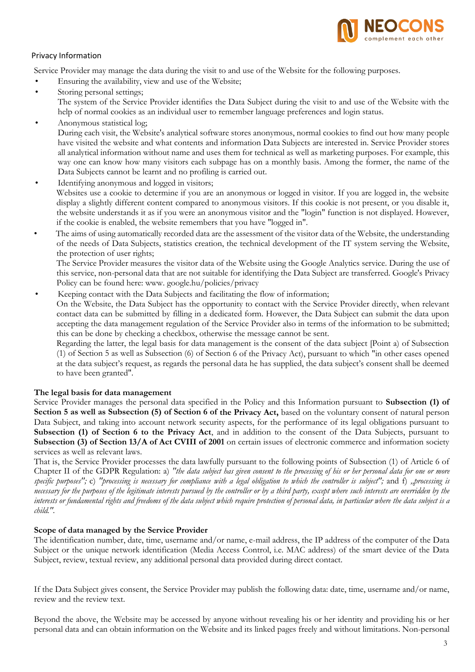

Service Provider may manage the data during the visit to and use of the Website for the following purposes.

- Ensuring the availability, view and use of the Website;
- Storing personal settings; The system of the Service Provider identifies the Data Subject during the visit to and use of the Website with the help of normal cookies as an individual user to remember language preferences and login status.
- Anonymous statistical log; During each visit, the Website's analytical software stores anonymous, normal cookies to find out how many people have visited the website and what contents and information Data Subjects are interested in. Service Provider stores all analytical information without name and uses them for technical as well as marketing purposes. For example, this way one can know how many visitors each subpage has on a monthly basis. Among the former, the name of the Data Subjects cannot be learnt and no profiling is carried out.
- Identifying anonymous and logged in visitors; Websites use a cookie to determine if you are an anonymous or logged in visitor. If you are logged in, the website display a slightly different content compared to anonymous visitors. If this cookie is not present, or you disable it, the website understands it as if you were an anonymous visitor and the "login" function is not displayed. However, if the cookie is enabled, the website remembers that you have "logged in".
- The aims of using automatically recorded data are the assessment of the visitor data of the Website, the understanding of the needs of Data Subjects, statistics creation, the technical development of the IT system serving the Website, the protection of user rights;

The Service Provider measures the visitor data of the Website using the Google Analytics service. During the use of this service, non-personal data that are not suitable for identifying the Data Subjec[t are transferred. Google's Privacy](http://www/)  [Policy can be found here: www. g](http://www/)oogle.hu/policies/privacy

• Keeping contact with the Data Subjects and facilitating the flow of information;

On the Website, the Data Subject has the opportunity to contact with the Service Provider directly, when relevant contact data can be submitted by filling in a dedicated form. However, the Data Subject can submit the data upon accepting the data management regulation of the Service Provider also in terms of the information to be submitted; this can be done by checking a checkbox, otherwise the message cannot be sent.

Regarding the latter, the legal basis for data management is the consent of the data subject [Point a) of Subsection (1) of Section 5 as well as Subsection (6) of Section 6 of the Privacy Act), pursuant to which "in other cases opened at the data subject's request, as regards the personal data he has supplied, the data subject's consent shall be deemed to have been granted".

## **The legal basis for data management**

Service Provider manages the personal data specified in the Policy and this Information pursuant to **Subsection (1) of Section 5 as well as Subsection (5) of Section 6 of the Privacy Act,** based on the voluntary consent of natural person Data Subject, and taking into account network security aspects, for the performance of its legal obligations pursuant to **Subsection (1) of Section 6 to the Privacy Act**, and in addition to the consent of the Data Subjects, pursuant to **Subsection (3) of Section 13/A of Act CVIII of 2001** on certain issues of electronic commerce and information society services as well as relevant laws.

That is, the Service Provider processes the data lawfully pursuant to the following points of Subsection (1) of Article 6 of Chapter II of the GDPR Regulation: a) *"the data subject has given consent to the processing of his or her personal data for one or more specific purposes";* c) *"processing is necessary for compliance with a legal obligation to which the controller is subject";* and f) *"processing is necessary for the purposes of the legitimate interests pursued by the controller or by a third party, except where such interests are overridden by the interests or fundamental rights and freedoms of the data subject which require protection of personal data, in particular where the data subject is a child.".*

#### **Scope of data managed by the Service Provider**

The identification number, date, time, username and/or name, e-mail address, the IP address of the computer of the Data Subject or the unique network identification (Media Access Control, i.e. MAC address) of the smart device of the Data Subject, review, textual review, any additional personal data provided during direct contact.

If the Data Subject gives consent, the Service Provider may publish the following data: date, time, username and/or name, review and the review text.

Beyond the above, the Website may be accessed by anyone without revealing his or her identity and providing his or her personal data and can obtain information on the Website and its linked pages freely and without limitations. Non-personal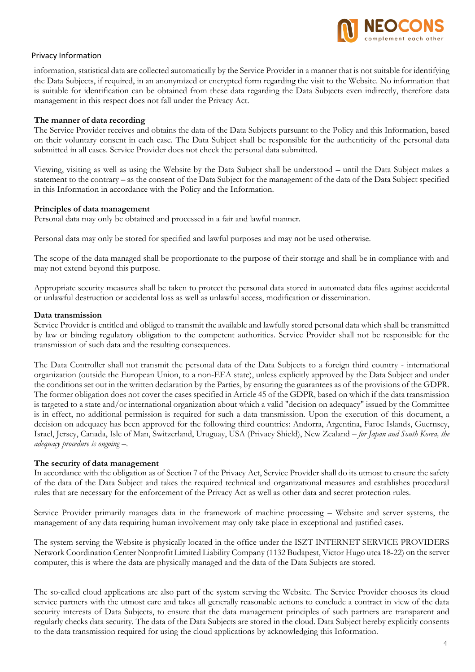

information, statistical data are collected automatically by the Service Provider in a manner that is not suitable for identifying the Data Subjects, if required, in an anonymized or encrypted form regarding the visit to the Website. No information that is suitable for identification can be obtained from these data regarding the Data Subjects even indirectly, therefore data management in this respect does not fall under the Privacy Act.

## **The manner of data recording**

The Service Provider receives and obtains the data of the Data Subjects pursuant to the Policy and this Information, based on their voluntary consent in each case. The Data Subject shall be responsible for the authenticity of the personal data submitted in all cases. Service Provider does not check the personal data submitted.

Viewing, visiting as well as using the Website by the Data Subject shall be understood – until the Data Subject makes a statement to the contrary – as the consent of the Data Subject for the management of the data of the Data Subject specified in this Information in accordance with the Policy and the Information.

#### **Principles of data management**

Personal data may only be obtained and processed in a fair and lawful manner.

Personal data may only be stored for specified and lawful purposes and may not be used otherwise.

The scope of the data managed shall be proportionate to the purpose of their storage and shall be in compliance with and may not extend beyond this purpose.

Appropriate security measures shall be taken to protect the personal data stored in automated data files against accidental or unlawful destruction or accidental loss as well as unlawful access, modification or dissemination.

#### **Data transmission**

Service Provider is entitled and obliged to transmit the available and lawfully stored personal data which shall be transmitted by law or binding regulatory obligation to the competent authorities. Service Provider shall not be responsible for the transmission of such data and the resulting consequences.

The Data Controller shall not transmit the personal data of the Data Subjects to a foreign third country - international organization (outside the European Union, to a non-EEA state), unless explicitly approved by the Data Subject and under the conditions set out in the written declaration by the Parties, by ensuring the guarantees as of the provisions of the GDPR. The former obligation does not cover the cases specified in Article 45 of the GDPR, based on which if the data transmission is targeted to a state and/or international organization about which a valid "decision on adequacy" issued by the Committee is in effect, no additional permission is required for such a data transmission. Upon the execution of this document, a decision on adequacy has been approved for the following third countries: Andorra, Argentina, Faroe Islands, Guernsey, Israel, Jersey, Canada, Isle of Man, Switzerland, Uruguay, USA (Privacy Shield), New Zealand – *for Japan and South Korea, the adequacy procedure is ongoing* –.

## **The security of data management**

In accordance with the obligation as of Section 7 of the Privacy Act, Service Provider shall do its utmost to ensure the safety of the data of the Data Subject and takes the required technical and organizational measures and establishes procedural rules that are necessary for the enforcement of the Privacy Act as well as other data and secret protection rules.

Service Provider primarily manages data in the framework of machine processing – Website and server systems, the management of any data requiring human involvement may only take place in exceptional and justified cases.

The system serving the Website is physically located in the office under the ISZT INTERNET SERVICE PROVIDERS Network Coordination Center Nonprofit Limited Liability Company (1132 Budapest, Victor Hugo utca 18-22) on the server computer, this is where the data are physically managed and the data of the Data Subjects are stored.

The so-called cloud applications are also part of the system serving the Website. The Service Provider chooses its cloud service partners with the utmost care and takes all generally reasonable actions to conclude a contract in view of the data security interests of Data Subjects, to ensure that the data management principles of such partners are transparent and regularly checks data security. The data of the Data Subjects are stored in the cloud. Data Subject hereby explicitly consents to the data transmission required for using the cloud applications by acknowledging this Information.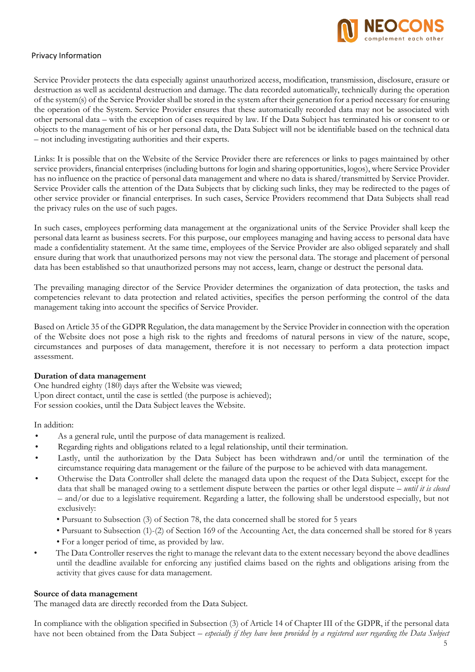

Service Provider protects the data especially against unauthorized access, modification, transmission, disclosure, erasure or destruction as well as accidental destruction and damage. The data recorded automatically, technically during the operation of the system(s) of the Service Provider shall be stored in the system after their generation for a period necessary for ensuring the operation of the System. Service Provider ensures that these automatically recorded data may not be associated with other personal data – with the exception of cases required by law. If the Data Subject has terminated his or consent to or objects to the management of his or her personal data, the Data Subject will not be identifiable based on the technical data – not including investigating authorities and their experts.

Links: It is possible that on the Website of the Service Provider there are references or links to pages maintained by other service providers, financial enterprises (including buttons for login and sharing opportunities, logos), where Service Provider has no influence on the practice of personal data management and where no data is shared/transmitted by Service Provider. Service Provider calls the attention of the Data Subjects that by clicking such links, they may be redirected to the pages of other service provider or financial enterprises. In such cases, Service Providers recommend that Data Subjects shall read the privacy rules on the use of such pages.

In such cases, employees performing data management at the organizational units of the Service Provider shall keep the personal data learnt as business secrets. For this purpose, our employees managing and having access to personal data have made a confidentiality statement. At the same time, employees of the Service Provider are also obliged separately and shall ensure during that work that unauthorized persons may not view the personal data. The storage and placement of personal data has been established so that unauthorized persons may not access, learn, change or destruct the personal data.

The prevailing managing director of the Service Provider determines the organization of data protection, the tasks and competencies relevant to data protection and related activities, specifies the person performing the control of the data management taking into account the specifics of Service Provider.

Based on Article 35 of the GDPR Regulation, the data management by the Service Provider in connection with the operation of the Website does not pose a high risk to the rights and freedoms of natural persons in view of the nature, scope, circumstances and purposes of data management, therefore it is not necessary to perform a data protection impact assessment.

## **Duration of data management**

One hundred eighty (180) days after the Website was viewed; Upon direct contact, until the case is settled (the purpose is achieved); For session cookies, until the Data Subject leaves the Website.

In addition:

- As a general rule, until the purpose of data management is realized.
- Regarding rights and obligations related to a legal relationship, until their termination.
- Lastly, until the authorization by the Data Subject has been withdrawn and/or until the termination of the circumstance requiring data management or the failure of the purpose to be achieved with data management.
- Otherwise the Data Controller shall delete the managed data upon the request of the Data Subject, except for the data that shall be managed owing to a settlement dispute between the parties or other legal dispute – *until it is closed*  – and/or due to a legislative requirement. Regarding a latter, the following shall be understood especially, but not exclusively:
	- Pursuant to Subsection (3) of Section 78, the data concerned shall be stored for 5 years
	- Pursuant to Subsection (1)-(2) of Section 169 of the Accounting Act, the data concerned shall be stored for 8 years
	- For a longer period of time, as provided by law.
- The Data Controller reserves the right to manage the relevant data to the extent necessary beyond the above deadlines until the deadline available for enforcing any justified claims based on the rights and obligations arising from the activity that gives cause for data management.

#### **Source of data management**

The managed data are directly recorded from the Data Subject.

In compliance with the obligation specified in Subsection (3) of Article 14 of Chapter III of the GDPR, if the personal data have not been obtained from the Data Subject – *especially if they have been provided by a registered user regarding the Data Subject*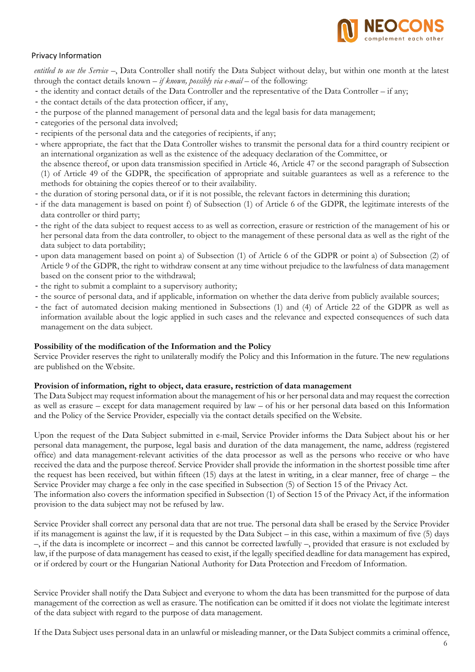

*entitled to use the Service* –, Data Controller shall notify the Data Subject without delay, but within one month at the latest through the contact details known – *if known, possibly via e-mail* – of the following:

- the identity and contact details of the Data Controller and the representative of the Data Controller if any;
- the contact details of the data protection officer, if any,
- the purpose of the planned management of personal data and the legal basis for data management;
- categories of the personal data involved;
- recipients of the personal data and the categories of recipients, if any;
- where appropriate, the fact that the Data Controller wishes to transmit the personal data for a third country recipient or an international organization as well as the existence of the adequacy declaration of the Committee, or

the absence thereof, or upon data transmission specified in Article 46, Article 47 or the second paragraph of Subsection (1) of Article 49 of the GDPR, the specification of appropriate and suitable guarantees as well as a reference to the methods for obtaining the copies thereof or to their availability.

- the duration of storing personal data, or if it is not possible, the relevant factors in determining this duration;
- if the data management is based on point f) of Subsection (1) of Article 6 of the GDPR, the legitimate interests of the data controller or third party;
- the right of the data subject to request access to as well as correction, erasure or restriction of the management of his or her personal data from the data controller, to object to the management of these personal data as well as the right of the data subject to data portability;
- upon data management based on point a) of Subsection (1) of Article 6 of the GDPR or point a) of Subsection (2) of Article 9 of the GDPR, the right to withdraw consent at any time without prejudice to the lawfulness of data management based on the consent prior to the withdrawal;
- the right to submit a complaint to a supervisory authority;
- the source of personal data, and if applicable, information on whether the data derive from publicly available sources;
- the fact of automated decision making mentioned in Subsections (1) and (4) of Article 22 of the GDPR as well as information available about the logic applied in such cases and the relevance and expected consequences of such data management on the data subject.

## **Possibility of the modification of the Information and the Policy**

Service Provider reserves the right to unilaterally modify the Policy and this Information in the future. The new regulations are published on the Website.

## **Provision of information, right to object, data erasure, restriction of data management**

The Data Subject may request information about the management of his or her personal data and may request the correction as well as erasure – except for data management required by law – of his or her personal data based on this Information and the Policy of the Service Provider, especially via the contact details specified on the Website.

Upon the request of the Data Subject submitted in e-mail, Service Provider informs the Data Subject about his or her personal data management, the purpose, legal basis and duration of the data management, the name, address (registered office) and data management-relevant activities of the data processor as well as the persons who receive or who have received the data and the purpose thereof. Service Provider shall provide the information in the shortest possible time after the request has been received, but within fifteen (15) days at the latest in writing, in a clear manner, free of charge – the Service Provider may charge a fee only in the case specified in Subsection (5) of Section 15 of the Privacy Act. The information also covers the information specified in Subsection (1) of Section 15 of the Privacy Act, if the information

provision to the data subject may not be refused by law.

Service Provider shall correct any personal data that are not true. The personal data shall be erased by the Service Provider if its management is against the law, if it is requested by the Data Subject – in this case, within a maximum of five (5) days –, if the data is incomplete or incorrect – and this cannot be corrected lawfully –, provided that erasure is not excluded by law, if the purpose of data management has ceased to exist, if the legally specified deadline for data management has expired, or if ordered by court or the Hungarian National Authority for Data Protection and Freedom of Information.

Service Provider shall notify the Data Subject and everyone to whom the data has been transmitted for the purpose of data management of the correction as well as erasure. The notification can be omitted if it does not violate the legitimate interest of the data subject with regard to the purpose of data management.

If the Data Subject uses personal data in an unlawful or misleading manner, or the Data Subject commits a criminal offence,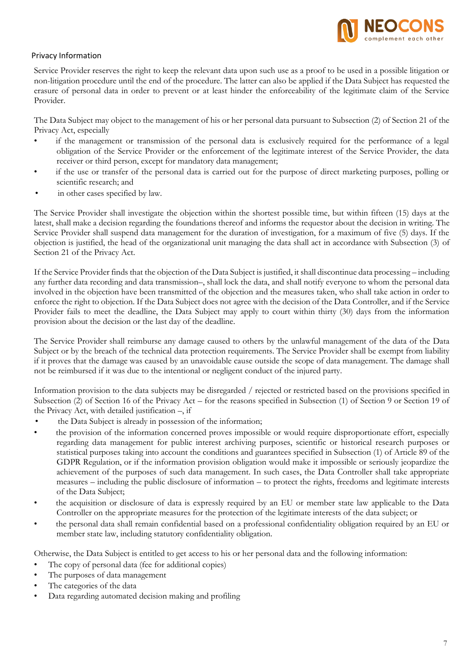

Service Provider reserves the right to keep the relevant data upon such use as a proof to be used in a possible litigation or non-litigation procedure until the end of the procedure. The latter can also be applied if the Data Subject has requested the erasure of personal data in order to prevent or at least hinder the enforceability of the legitimate claim of the Service Provider.

The Data Subject may object to the management of his or her personal data pursuant to Subsection (2) of Section 21 of the Privacy Act, especially

- if the management or transmission of the personal data is exclusively required for the performance of a legal obligation of the Service Provider or the enforcement of the legitimate interest of the Service Provider, the data receiver or third person, except for mandatory data management;
- if the use or transfer of the personal data is carried out for the purpose of direct marketing purposes, polling or scientific research; and
- in other cases specified by law.

The Service Provider shall investigate the objection within the shortest possible time, but within fifteen (15) days at the latest, shall make a decision regarding the foundations thereof and informs the requestor about the decision in writing. The Service Provider shall suspend data management for the duration of investigation, for a maximum of five (5) days. If the objection is justified, the head of the organizational unit managing the data shall act in accordance with Subsection (3) of Section 21 of the Privacy Act.

If the Service Provider finds that the objection of the Data Subject is justified, it shall discontinue data processing – including any further data recording and data transmission–, shall lock the data, and shall notify everyone to whom the personal data involved in the objection have been transmitted of the objection and the measures taken, who shall take action in order to enforce the right to objection. If the Data Subject does not agree with the decision of the Data Controller, and if the Service Provider fails to meet the deadline, the Data Subject may apply to court within thirty (30) days from the information provision about the decision or the last day of the deadline.

The Service Provider shall reimburse any damage caused to others by the unlawful management of the data of the Data Subject or by the breach of the technical data protection requirements. The Service Provider shall be exempt from liability if it proves that the damage was caused by an unavoidable cause outside the scope of data management. The damage shall not be reimbursed if it was due to the intentional or negligent conduct of the injured party.

Information provision to the data subjects may be disregarded / rejected or restricted based on the provisions specified in Subsection (2) of Section 16 of the Privacy Act – for the reasons specified in Subsection (1) of Section 9 or Section 19 of the Privacy Act, with detailed justification –, if

- the Data Subject is already in possession of the information;
- the provision of the information concerned proves impossible or would require disproportionate effort, especially regarding data management for public interest archiving purposes, scientific or historical research purposes or statistical purposes taking into account the conditions and guarantees specified in Subsection (1) of Article 89 of the GDPR Regulation, or if the information provision obligation would make it impossible or seriously jeopardize the achievement of the purposes of such data management. In such cases, the Data Controller shall take appropriate measures – including the public disclosure of information – to protect the rights, freedoms and legitimate interests of the Data Subject;
- the acquisition or disclosure of data is expressly required by an EU or member state law applicable to the Data Controller on the appropriate measures for the protection of the legitimate interests of the data subject; or
- the personal data shall remain confidential based on a professional confidentiality obligation required by an EU or member state law, including statutory confidentiality obligation.

Otherwise, the Data Subject is entitled to get access to his or her personal data and the following information:

- The copy of personal data (fee for additional copies)
- The purposes of data management
- The categories of the data
- Data regarding automated decision making and profiling